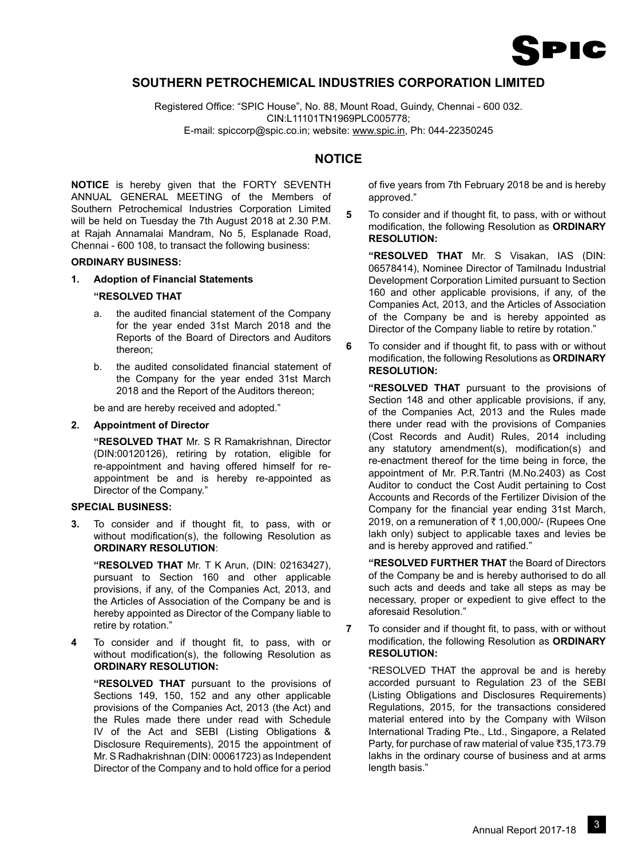

# **SOUTHERN PETROCHEMICAL INDUSTRIES CORPORATION LIMITED**

Registered Office: "SPIC House", No. 88, Mount Road, Guindy, Chennai - 600 032. CIN:L11101TN1969PLC005778;

E-mail: spiccorp@spic.co.in; website: www.spic.in, Ph: 044-22350245

# **NOTICE**

**NOTICE** is hereby given that the FORTY SEVENTH ANNUAL GENERAL MEETING of the Members of Southern Petrochemical Industries Corporation Limited will be held on Tuesday the 7th August 2018 at 2.30 P.M. at Rajah Annamalai Mandram, No 5, Esplanade Road, Chennai - 600 108, to transact the following business:

## **ORDINARY BUSINESS:**

**1. Adoption of Financial Statements**

#### **"RESOLVED THAT**

- a. the audited financial statement of the Company for the year ended 31st March 2018 and the Reports of the Board of Directors and Auditors thereon;
- b. the audited consolidated financial statement of the Company for the year ended 31st March 2018 and the Report of the Auditors thereon;

be and are hereby received and adopted."

#### **2. Appointment of Director**

**"RESOLVED THAT** Mr. S R Ramakrishnan, Director (DIN:00120126), retiring by rotation, eligible for re-appointment and having offered himself for reappointment be and is hereby re-appointed as Director of the Company."

# **SPECIAL BUSINESS:**

**3.** To consider and if thought fit, to pass, with or without modification(s), the following Resolution as **ORDINARY RESOLUTION**:

**"RESOLVED THAT** Mr. T K Arun, (DIN: 02163427), pursuant to Section 160 and other applicable provisions, if any, of the Companies Act, 2013, and the Articles of Association of the Company be and is hereby appointed as Director of the Company liable to retire by rotation."

**4** To consider and if thought fit, to pass, with or without modification(s), the following Resolution as **ORDINARY RESOLUTION:**

**"RESOLVED THAT** pursuant to the provisions of Sections 149, 150, 152 and any other applicable provisions of the Companies Act, 2013 (the Act) and the Rules made there under read with Schedule IV of the Act and SEBI (Listing Obligations & Disclosure Requirements), 2015 the appointment of Mr. S Radhakrishnan (DIN: 00061723) as Independent Director of the Company and to hold office for a period

of five years from 7th February 2018 be and is hereby approved."

**5** To consider and if thought fit, to pass, with or without modification, the following Resolution as **ORDINARY RESOLUTION:**

**"RESOLVED THAT** Mr. S Visakan, IAS (DIN: 06578414), Nominee Director of Tamilnadu Industrial Development Corporation Limited pursuant to Section 160 and other applicable provisions, if any, of the Companies Act, 2013, and the Articles of Association of the Company be and is hereby appointed as Director of the Company liable to retire by rotation."

**6** To consider and if thought fit, to pass with or without modification, the following Resolutions as **ORDINARY RESOLUTION:**

**"RESOLVED THAT** pursuant to the provisions of Section 148 and other applicable provisions, if any, of the Companies Act, 2013 and the Rules made there under read with the provisions of Companies (Cost Records and Audit) Rules, 2014 including any statutory amendment(s), modification(s) and re-enactment thereof for the time being in force, the appointment of Mr. P.R.Tantri (M.No.2403) as Cost Auditor to conduct the Cost Audit pertaining to Cost Accounts and Records of the Fertilizer Division of the Company for the financial year ending 31st March, 2019. on a remuneration of  $\bar{x}$  1,00,000/- (Rupees One lakh only) subject to applicable taxes and levies be and is hereby approved and ratified."

**"RESOLVED FURTHER THAT** the Board of Directors of the Company be and is hereby authorised to do all such acts and deeds and take all steps as may be necessary, proper or expedient to give effect to the aforesaid Resolution."

**7** To consider and if thought fit, to pass, with or without modification, the following Resolution as **ORDINARY RESOLUTION:**

"RESOLVED THAT the approval be and is hereby accorded pursuant to Regulation 23 of the SEBI (Listing Obligations and Disclosures Requirements) Regulations, 2015, for the transactions considered material entered into by the Company with Wilson International Trading Pte., Ltd., Singapore, a Related Party, for purchase of raw material of value  $\overline{3}35.173.79$ lakhs in the ordinary course of business and at arms length basis."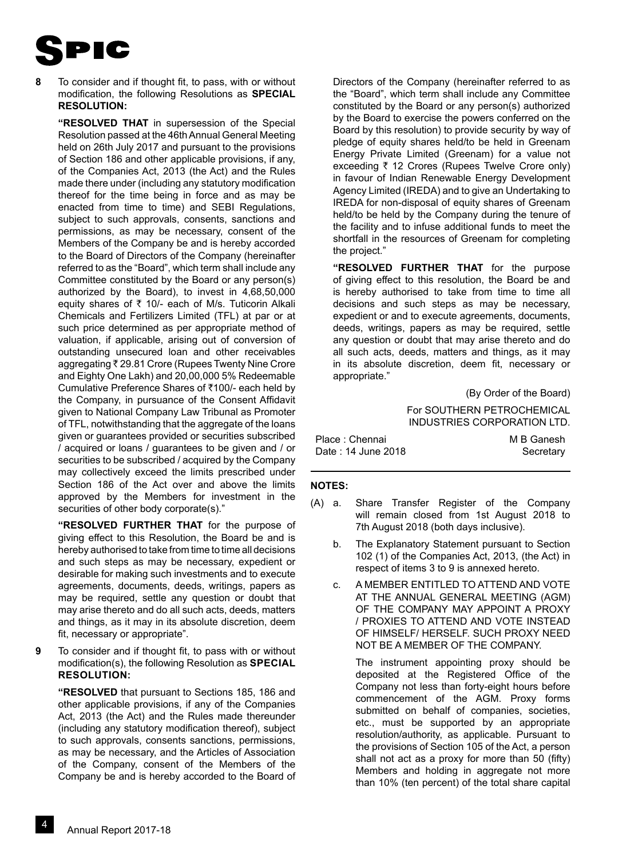

**8** To consider and if thought fit, to pass, with or without modification, the following Resolutions as **SPECIAL RESOLUTION:**

**"RESOLVED THAT** in supersession of the Special Resolution passed at the 46th Annual General Meeting held on 26th July 2017 and pursuant to the provisions of Section 186 and other applicable provisions, if any, of the Companies Act, 2013 (the Act) and the Rules made there under (including any statutory modification thereof for the time being in force and as may be enacted from time to time) and SEBI Regulations, subject to such approvals, consents, sanctions and permissions, as may be necessary, consent of the Members of the Company be and is hereby accorded to the Board of Directors of the Company (hereinafter referred to as the "Board", which term shall include any Committee constituted by the Board or any person(s) authorized by the Board), to invest in 4,68,50,000 equity shares of  $\bar{\tau}$  10/- each of M/s. Tuticorin Alkali Chemicals and Fertilizers Limited (TFL) at par or at such price determined as per appropriate method of valuation, if applicable, arising out of conversion of outstanding unsecured loan and other receivables aggregating ₹ 29.81 Crore (Rupees Twenty Nine Crore and Eighty One Lakh) and 20,00,000 5% Redeemable Cumulative Preference Shares of  $\bar{x}$ 100/- each held by the Company, in pursuance of the Consent Affidavit given to National Company Law Tribunal as Promoter of TFL, notwithstanding that the aggregate of the loans given or guarantees provided or securities subscribed / acquired or loans / guarantees to be given and / or securities to be subscribed / acquired by the Company may collectively exceed the limits prescribed under Section 186 of the Act over and above the limits approved by the Members for investment in the securities of other body corporate(s)."

**"RESOLVED FURTHER THAT** for the purpose of giving effect to this Resolution, the Board be and is hereby authorised to take from time to time all decisions and such steps as may be necessary, expedient or desirable for making such investments and to execute agreements, documents, deeds, writings, papers as may be required, settle any question or doubt that may arise thereto and do all such acts, deeds, matters and things, as it may in its absolute discretion, deem fit, necessary or appropriate".

**9** To consider and if thought fit, to pass with or without modification(s), the following Resolution as **Special Resolution:**

**"RESOLVED** that pursuant to Sections 185, 186 and other applicable provisions, if any of the Companies Act, 2013 (the Act) and the Rules made thereunder (including any statutory modification thereof), subject to such approvals, consents sanctions, permissions, as may be necessary, and the Articles of Association of the Company, consent of the Members of the Company be and is hereby accorded to the Board of Directors of the Company (hereinafter referred to as the "Board", which term shall include any Committee constituted by the Board or any person(s) authorized by the Board to exercise the powers conferred on the Board by this resolution) to provide security by way of pledge of equity shares held/to be held in Greenam Energy Private Limited (Greenam) for a value not exceeding  $\bar{\tau}$  12 Crores (Rupees Twelve Crore only) in favour of Indian Renewable Energy Development Agency Limited (IREDA) and to give an Undertaking to IREDA for non-disposal of equity shares of Greenam held/to be held by the Company during the tenure of the facility and to infuse additional funds to meet the shortfall in the resources of Greenam for completing the project."

**"RESOLVED FURTHER THAT** for the purpose of giving effect to this resolution, the Board be and is hereby authorised to take from time to time all decisions and such steps as may be necessary, expedient or and to execute agreements, documents, deeds, writings, papers as may be required, settle any question or doubt that may arise thereto and do all such acts, deeds, matters and things, as it may in its absolute discretion, deem fit, necessary or appropriate."

> (By Order of the Board) For SOUTHERN PETROCHEMICAL INDUSTRIES CORPORATION LTD.

| Place: Chennai     | M B Ganesh |
|--------------------|------------|
| Date: 14 June 2018 | Secretary  |

#### **NOTES:**

- (A) a. Share Transfer Register of the Company will remain closed from 1st August 2018 to 7th August 2018 (both days inclusive).
	- b. The Explanatory Statement pursuant to Section 102 (1) of the Companies Act, 2013, (the Act) in respect of items 3 to 9 is annexed hereto.
	- c. A MEMBER ENTITLED TO ATTEND AND VOTE AT THE ANNUAL GENERAL MEETING (AGM) OF THE COMPANY MAY APPOINT A PROXY / PROXIES TO ATTEND AND VOTE INSTEAD OF HIMSELF/ HERSELF. SUCH PROXY NEED NOT BE A MEMBER OF THE COMPANY.

The instrument appointing proxy should be deposited at the Registered Office of the Company not less than forty-eight hours before commencement of the AGM. Proxy forms submitted on behalf of companies, societies, etc., must be supported by an appropriate resolution/authority, as applicable. Pursuant to the provisions of Section 105 of the Act, a person shall not act as a proxy for more than 50 (fifty) Members and holding in aggregate not more than 10% (ten percent) of the total share capital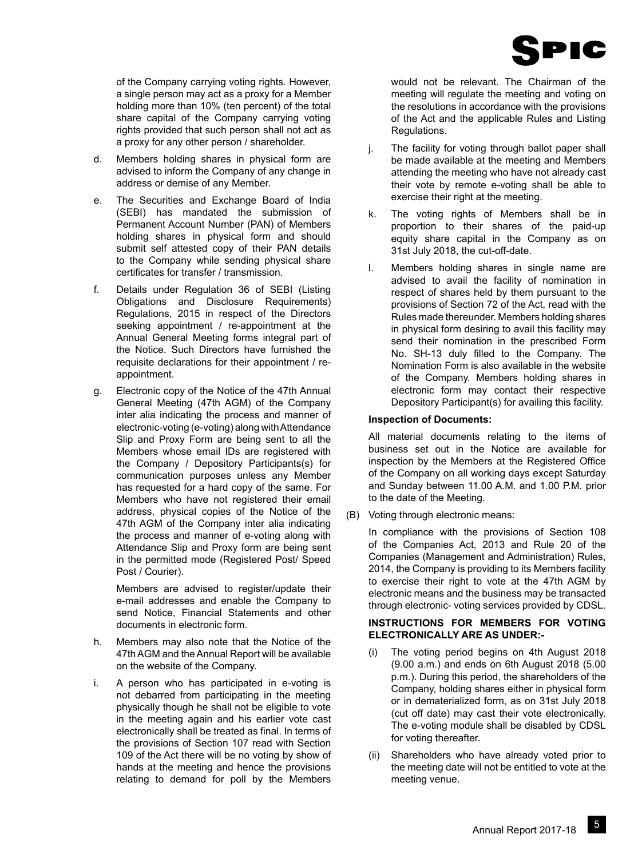

of the Company carrying voting rights. However, a single person may act as a proxy for a Member holding more than 10% (ten percent) of the total share capital of the Company carrying voting rights provided that such person shall not act as a proxy for any other person / shareholder.

- d. Members holding shares in physical form are advised to inform the Company of any change in address or demise of any Member.
- e. The Securities and Exchange Board of India (SEBI) has mandated the submission of Permanent Account Number (PAN) of Members holding shares in physical form and should submit self attested copy of their PAN details to the Company while sending physical share certificates for transfer / transmission.
- f. Details under Regulation 36 of SEBI (Listing Obligations and Disclosure Requirements) Regulations, 2015 in respect of the Directors seeking appointment / re-appointment at the Annual General Meeting forms integral part of the Notice. Such Directors have furnished the requisite declarations for their appointment / reappointment.
- g. Electronic copy of the Notice of the 47th Annual General Meeting (47th AGM) of the Company inter alia indicating the process and manner of electronic-voting (e-voting) along with Attendance Slip and Proxy Form are being sent to all the Members whose email IDs are registered with the Company / Depository Participants(s) for communication purposes unless any Member has requested for a hard copy of the same. For Members who have not registered their email address, physical copies of the Notice of the 47th AGM of the Company inter alia indicating the process and manner of e-voting along with Attendance Slip and Proxy form are being sent in the permitted mode (Registered Post/ Speed Post / Courier).

 Members are advised to register/update their e-mail addresses and enable the Company to send Notice, Financial Statements and other documents in electronic form.

- h. Members may also note that the Notice of the 47th AGM and the Annual Report will be available on the website of the Company.
- i. A person who has participated in e-voting is not debarred from participating in the meeting physically though he shall not be eligible to vote in the meeting again and his earlier vote cast electronically shall be treated as final. In terms of the provisions of Section 107 read with Section 109 of the Act there will be no voting by show of hands at the meeting and hence the provisions relating to demand for poll by the Members

would not be relevant. The Chairman of the meeting will regulate the meeting and voting on the resolutions in accordance with the provisions of the Act and the applicable Rules and Listing Regulations.

- j. The facility for voting through ballot paper shall be made available at the meeting and Members attending the meeting who have not already cast their vote by remote e-voting shall be able to exercise their right at the meeting.
- k. The voting rights of Members shall be in proportion to their shares of the paid-up equity share capital in the Company as on 31st July 2018, the cut-off-date.
- l. Members holding shares in single name are advised to avail the facility of nomination in respect of shares held by them pursuant to the provisions of Section 72 of the Act, read with the Rules made thereunder. Members holding shares in physical form desiring to avail this facility may send their nomination in the prescribed Form No. SH-13 duly filled to the Company. The Nomination Form is also available in the website of the Company. Members holding shares in electronic form may contact their respective Depository Participant(s) for availing this facility.

# **Inspection of Documents:**

All material documents relating to the items of business set out in the Notice are available for inspection by the Members at the Registered Office of the Company on all working days except Saturday and Sunday between 11.00 A.M. and 1.00 P.M. prior to the date of the Meeting.

(B) Voting through electronic means:

In compliance with the provisions of Section 108 of the Companies Act, 2013 and Rule 20 of the Companies (Management and Administration) Rules, 2014, the Company is providing to its Members facility to exercise their right to vote at the 47th AGM by electronic means and the business may be transacted through electronic- voting services provided by CDSL.

# **INSTRUCTIONS FOR MEMBERS FOR VOTING ELECTRONICALLY ARE AS UNDER:-**

- (i) The voting period begins on 4th August 2018 (9.00 a.m.) and ends on 6th August 2018 (5.00 p.m.). During this period, the shareholders of the Company, holding shares either in physical form or in dematerialized form, as on 31st July 2018 (cut off date) may cast their vote electronically. The e-voting module shall be disabled by CDSL for voting thereafter.
- (ii) Shareholders who have already voted prior to the meeting date will not be entitled to vote at the meeting venue.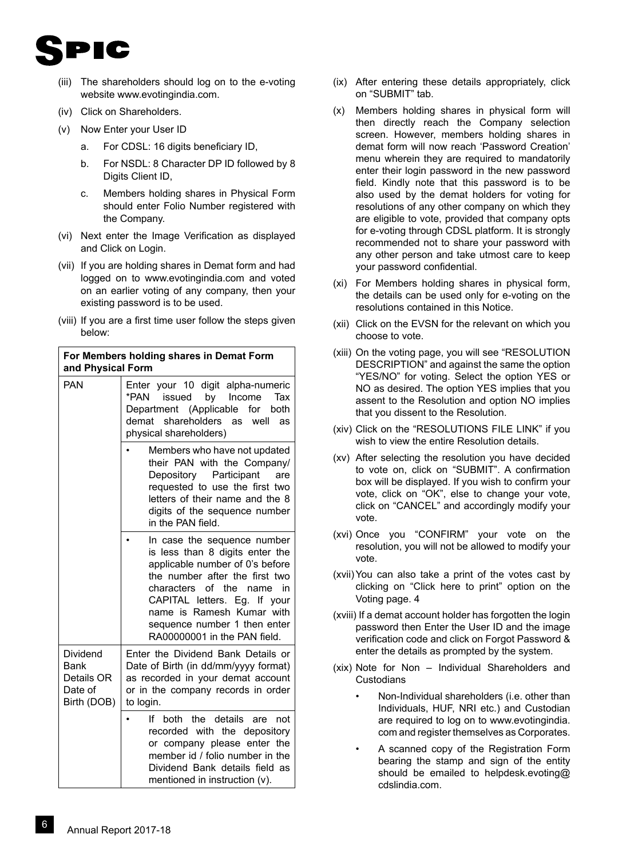

- (iii) The shareholders should log on to the e-voting website www.evotingindia.com.
- (iv) Click on Shareholders.
- (v) Now Enter your User ID
	- a. For CDSL: 16 digits beneficiary ID,
	- b. For NSDL: 8 Character DP ID followed by 8 Digits Client ID,
	- c. Members holding shares in Physical Form should enter Folio Number registered with the Company.
- (vi) Next enter the Image Verification as displayed and Click on Login.
- (vii) If you are holding shares in Demat form and had logged on to www.evotingindia.com and voted on an earlier voting of any company, then your existing password is to be used.
- (viii) If you are a first time user follow the steps given below:

| For Members holding shares in Demat Form<br>and Physical Form |                                                                                                                                                                                                                                                                                                  |  |  |
|---------------------------------------------------------------|--------------------------------------------------------------------------------------------------------------------------------------------------------------------------------------------------------------------------------------------------------------------------------------------------|--|--|
| <b>PAN</b>                                                    | Enter your 10 digit alpha-numeric<br>by Income<br>*PAN<br>issued<br>Tax<br>Department (Applicable<br>for<br>both<br>demat shareholders as<br>well<br>as<br>physical shareholders)                                                                                                                |  |  |
|                                                               | Members who have not updated<br>their PAN with the Company/<br>Depository Participant<br>are<br>requested to use the first two<br>letters of their name and the 8<br>digits of the sequence number<br>in the PAN field.                                                                          |  |  |
|                                                               | In case the sequence number<br>is less than 8 digits enter the<br>applicable number of 0's before<br>the number after the first two<br>characters of the name<br>in<br>CAPITAL letters. Eg. If your<br>name is Ramesh Kumar with<br>sequence number 1 then enter<br>RA00000001 in the PAN field. |  |  |
| Dividend<br>Bank<br>Details OR<br>Date of<br>Birth (DOB)      | Enter the Dividend Bank Details or<br>Date of Birth (in dd/mm/yyyy format)<br>as recorded in your demat account<br>or in the company records in order<br>to login.                                                                                                                               |  |  |
|                                                               | lf<br>both the details<br>are<br>not<br>recorded with the depository<br>or company please enter the<br>member id / folio number in the<br>Dividend Bank details field as<br>mentioned in instruction (v).                                                                                        |  |  |

- (ix) After entering these details appropriately, click on "SUBMIT" tab.
- (x) Members holding shares in physical form will then directly reach the Company selection screen. However, members holding shares in demat form will now reach 'Password Creation' menu wherein they are required to mandatorily enter their login password in the new password field. Kindly note that this password is to be also used by the demat holders for voting for resolutions of any other company on which they are eligible to vote, provided that company opts for e-voting through CDSL platform. It is strongly recommended not to share your password with any other person and take utmost care to keep your password confidential.
- (xi) For Members holding shares in physical form, the details can be used only for e-voting on the resolutions contained in this Notice.
- (xii) Click on the EVSN for the relevant on which you choose to vote.
- (xiii) On the voting page, you will see "RESOLUTION DESCRIPTION" and against the same the option "YES/NO" for voting. Select the option YES or NO as desired. The option YES implies that you assent to the Resolution and option NO implies that you dissent to the Resolution.
- (xiv) Click on the "RESOLUTIONS FILE LINK" if you wish to view the entire Resolution details.
- (xv) After selecting the resolution you have decided to vote on, click on "SUBMIT". A confirmation box will be displayed. If you wish to confirm your vote, click on "OK", else to change your vote, click on "CANCEL" and accordingly modify your vote.
- (xvi) Once you "CONFIRM" your vote on the resolution, you will not be allowed to modify your vote.
- (xvii)You can also take a print of the votes cast by clicking on "Click here to print" option on the Voting page. 4
- (xviii) If a demat account holder has forgotten the login password then Enter the User ID and the image verification code and click on Forgot Password & enter the details as prompted by the system.
- (xix) Note for Non Individual Shareholders and Custodians
	- Non-Individual shareholders (i.e. other than Individuals, HUF, NRI etc.) and Custodian are required to log on to www.evotingindia. com and register themselves as Corporates.
	- A scanned copy of the Registration Form bearing the stamp and sign of the entity should be emailed to helpdesk.evoting@ cdslindia.com.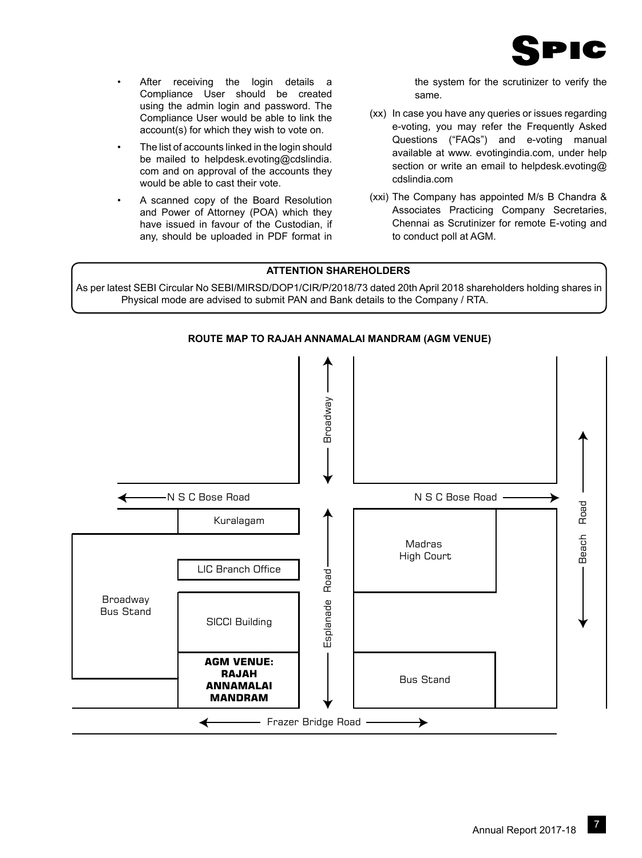

- After receiving the login details a Compliance User should be created using the admin login and password. The Compliance User would be able to link the account(s) for which they wish to vote on.
- The list of accounts linked in the login should be mailed to helpdesk.evoting@cdslindia. com and on approval of the accounts they would be able to cast their vote.
- A scanned copy of the Board Resolution and Power of Attorney (POA) which they have issued in favour of the Custodian, if any, should be uploaded in PDF format in

the system for the scrutinizer to verify the same.

- (xx) In case you have any queries or issues regarding e-voting, you may refer the Frequently Asked Questions ("FAQs") and e-voting manual available at www. evotingindia.com, under help section or write an email to helpdesk.evoting@ cdslindia.com
- (xxi) The Company has appointed M/s B Chandra & Associates Practicing Company Secretaries, Chennai as Scrutinizer for remote E-voting and to conduct poll at AGM.

# **ATTENTION SHAREHOLDERS**

As per latest SEBI Circular No SEBI/MIRSD/DOP1/CIR/P/2018/73 dated 20th April 2018 shareholders holding shares in Physical mode are advised to submit PAN and Bank details to the Company / RTA.

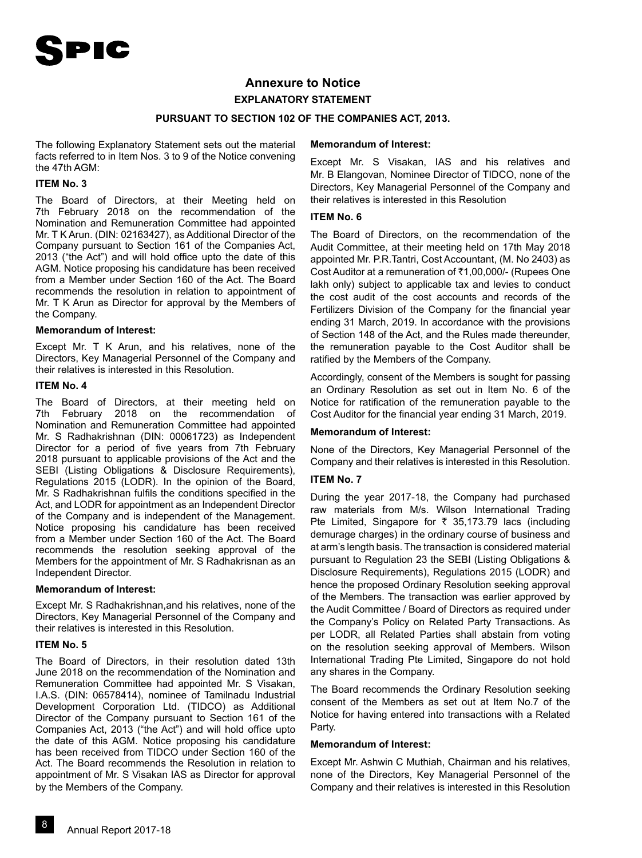# **Annexure to Notice EXPLANATORY STATEMENT**

### **PURSUANT TO SECTION 102 OF THE COMPANIES ACT, 2013.**

The following Explanatory Statement sets out the material facts referred to in Item Nos. 3 to 9 of the Notice convening the 47th AGM:

#### **ITEM No. 3**

The Board of Directors, at their Meeting held on 7th February 2018 on the recommendation of the Nomination and Remuneration Committee had appointed Mr. T K Arun. (DIN: 02163427), as Additional Director of the Company pursuant to Section 161 of the Companies Act, 2013 ("the Act") and will hold office upto the date of this AGM. Notice proposing his candidature has been received from a Member under Section 160 of the Act. The Board recommends the resolution in relation to appointment of Mr. T K Arun as Director for approval by the Members of the Company.

#### **Memorandum of Interest:**

Except Mr. T K Arun, and his relatives, none of the Directors, Key Managerial Personnel of the Company and their relatives is interested in this Resolution.

#### **ITEM No. 4**

The Board of Directors, at their meeting held on 7th February 2018 on the recommendation of Nomination and Remuneration Committee had appointed Mr. S Radhakrishnan (DIN: 00061723) as Independent Director for a period of five years from 7th February 2018 pursuant to applicable provisions of the Act and the SEBI (Listing Obligations & Disclosure Requirements), Regulations 2015 (LODR). In the opinion of the Board, Mr. S Radhakrishnan fulfils the conditions specified in the Act, and LODR for appointment as an Independent Director of the Company and is independent of the Management. Notice proposing his candidature has been received from a Member under Section 160 of the Act. The Board recommends the resolution seeking approval of the Members for the appointment of Mr. S Radhakrisnan as an Independent Director.

#### **Memorandum of Interest:**

Except Mr. S Radhakrishnan,and his relatives, none of the Directors, Key Managerial Personnel of the Company and their relatives is interested in this Resolution.

#### **ITEM No. 5**

The Board of Directors, in their resolution dated 13th June 2018 on the recommendation of the Nomination and Remuneration Committee had appointed Mr. S Visakan, I.A.S. (DIN: 06578414), nominee of Tamilnadu Industrial Development Corporation Ltd. (TIDCO) as Additional Director of the Company pursuant to Section 161 of the Companies Act, 2013 ("the Act") and will hold office upto the date of this AGM. Notice proposing his candidature has been received from TIDCO under Section 160 of the Act. The Board recommends the Resolution in relation to appointment of Mr. S Visakan IAS as Director for approval by the Members of the Company.

#### **Memorandum of Interest:**

Except Mr. S Visakan, IAS and his relatives and Mr. B Elangovan, Nominee Director of TIDCO, none of the Directors, Key Managerial Personnel of the Company and their relatives is interested in this Resolution

## **ITEM No. 6**

The Board of Directors, on the recommendation of the Audit Committee, at their meeting held on 17th May 2018 appointed Mr. P.R.Tantri, Cost Accountant, (M. No 2403) as Cost Auditor at a remuneration of ₹1,00,000/- (Rupees One lakh only) subject to applicable tax and levies to conduct the cost audit of the cost accounts and records of the Fertilizers Division of the Company for the financial year ending 31 March, 2019. In accordance with the provisions of Section 148 of the Act, and the Rules made thereunder, the remuneration payable to the Cost Auditor shall be ratified by the Members of the Company.

Accordingly, consent of the Members is sought for passing an Ordinary Resolution as set out in Item No. 6 of the Notice for ratification of the remuneration payable to the Cost Auditor for the financial year ending 31 March, 2019.

#### **Memorandum of Interest:**

None of the Directors, Key Managerial Personnel of the Company and their relatives is interested in this Resolution.

### **ITEM No. 7**

During the year 2017-18, the Company had purchased raw materials from M/s. Wilson International Trading Pte Limited, Singapore for  $\bar{\tau}$  35,173.79 lacs (including demurage charges) in the ordinary course of business and at arm's length basis. The transaction is considered material pursuant to Regulation 23 the SEBI (Listing Obligations & Disclosure Requirements), Regulations 2015 (LODR) and hence the proposed Ordinary Resolution seeking approval of the Members. The transaction was earlier approved by the Audit Committee / Board of Directors as required under the Company's Policy on Related Party Transactions. As per LODR, all Related Parties shall abstain from voting on the resolution seeking approval of Members. Wilson International Trading Pte Limited, Singapore do not hold any shares in the Company.

The Board recommends the Ordinary Resolution seeking consent of the Members as set out at Item No.7 of the Notice for having entered into transactions with a Related Party.

#### **Memorandum of Interest:**

Except Mr. Ashwin C Muthiah, Chairman and his relatives, none of the Directors, Key Managerial Personnel of the Company and their relatives is interested in this Resolution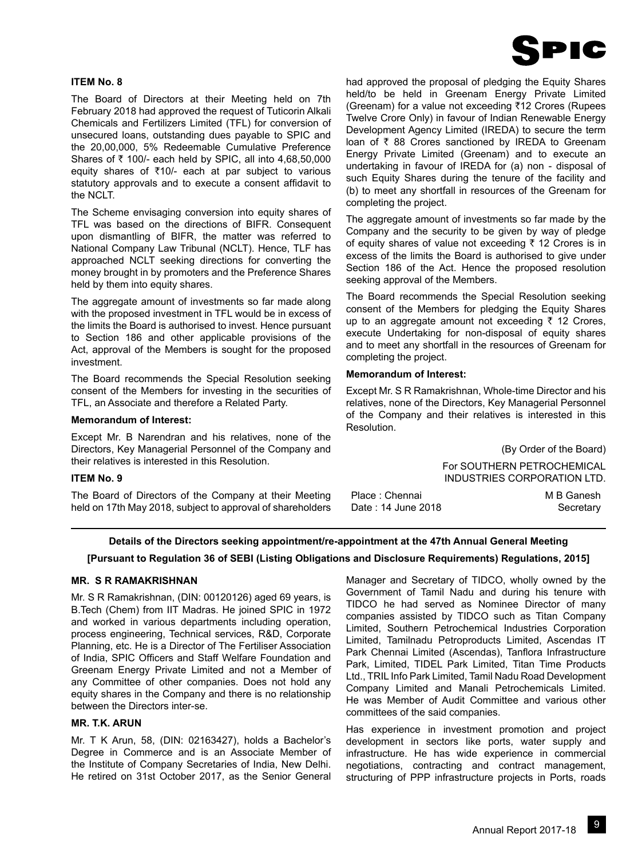

### **ITEM No. 8**

The Board of Directors at their Meeting held on 7th February 2018 had approved the request of Tuticorin Alkali Chemicals and Fertilizers Limited (TFL) for conversion of unsecured loans, outstanding dues payable to SPIC and the 20,00,000, 5% Redeemable Cumulative Preference Shares of  $\bar{\tau}$  100/- each held by SPIC, all into 4,68,50,000 equity shares of  $\overline{5}10/-$  each at par subject to various statutory approvals and to execute a consent affidavit to the NCLT.

The Scheme envisaging conversion into equity shares of TFL was based on the directions of BIFR. Consequent upon dismantling of BIFR, the matter was referred to National Company Law Tribunal (NCLT). Hence, TLF has approached NCLT seeking directions for converting the money brought in by promoters and the Preference Shares held by them into equity shares.

The aggregate amount of investments so far made along with the proposed investment in TFL would be in excess of the limits the Board is authorised to invest. Hence pursuant to Section 186 and other applicable provisions of the Act, approval of the Members is sought for the proposed investment.

The Board recommends the Special Resolution seeking consent of the Members for investing in the securities of TFL, an Associate and therefore a Related Party.

#### **Memorandum of Interest:**

Except Mr. B Narendran and his relatives, none of the Directors, Key Managerial Personnel of the Company and their relatives is interested in this Resolution.

#### **ITEM No. 9**

The Board of Directors of the Company at their Meeting held on 17th May 2018, subject to approval of shareholders had approved the proposal of pledging the Equity Shares held/to be held in Greenam Energy Private Limited (Greenam) for a value not exceeding ₹12 Crores (Rupees Twelve Crore Only) in favour of Indian Renewable Energy Development Agency Limited (IREDA) to secure the term loan of  $\bar{\tau}$  88 Crores sanctioned by IREDA to Greenam Energy Private Limited (Greenam) and to execute an undertaking in favour of IREDA for (a) non - disposal of such Equity Shares during the tenure of the facility and (b) to meet any shortfall in resources of the Greenam for completing the project.

The aggregate amount of investments so far made by the Company and the security to be given by way of pledge of equity shares of value not exceeding  $\bar{\tau}$  12 Crores is in excess of the limits the Board is authorised to give under Section 186 of the Act. Hence the proposed resolution seeking approval of the Members.

The Board recommends the Special Resolution seeking consent of the Members for pledging the Equity Shares up to an aggregate amount not exceeding  $\bar{\tau}$  12 Crores, execute Undertaking for non-disposal of equity shares and to meet any shortfall in the resources of Greenam for completing the project.

## **Memorandum of Interest:**

Except Mr. S R Ramakrishnan, Whole-time Director and his relatives, none of the Directors, Key Managerial Personnel of the Company and their relatives is interested in this **Resolution** 

> (By Order of the Board) For SOUTHERN PETROCHEMICAL INDUSTRIES CORPORATION LTD.

| Place: Chennai     | M B Ganesh |
|--------------------|------------|
| Date: 14 June 2018 | Secretary  |

## **Details of the Directors seeking appointment/re-appointment at the 47th Annual General Meeting**

## **[Pursuant to Regulation 36 of SEBI (Listing Obligations and Disclosure Requirements) Regulations, 2015]**

#### **MR. S R RAMAKRISHNAN**

Mr. S R Ramakrishnan, (DIN: 00120126) aged 69 years, is B.Tech (Chem) from IIT Madras. He joined SPIC in 1972 and worked in various departments including operation, process engineering, Technical services, R&D, Corporate Planning, etc. He is a Director of The Fertiliser Association of India, SPIC Officers and Staff Welfare Foundation and Greenam Energy Private Limited and not a Member of any Committee of other companies. Does not hold any equity shares in the Company and there is no relationship between the Directors inter-se.

#### **MR. T.K. ARUN**

Mr. T K Arun, 58, (DIN: 02163427), holds a Bachelor's Degree in Commerce and is an Associate Member of the Institute of Company Secretaries of India, New Delhi. He retired on 31st October 2017, as the Senior General Manager and Secretary of TIDCO, wholly owned by the Government of Tamil Nadu and during his tenure with TIDCO he had served as Nominee Director of many companies assisted by TIDCO such as Titan Company Limited, Southern Petrochemical Industries Corporation Limited, Tamilnadu Petroproducts Limited, Ascendas IT Park Chennai Limited (Ascendas), Tanflora Infrastructure Park, Limited, TIDEL Park Limited, Titan Time Products Ltd., TRIL Info Park Limited, Tamil Nadu Road Development Company Limited and Manali Petrochemicals Limited. He was Member of Audit Committee and various other committees of the said companies.

Has experience in investment promotion and project development in sectors like ports, water supply and infrastructure. He has wide experience in commercial negotiations, contracting and contract management, structuring of PPP infrastructure projects in Ports, roads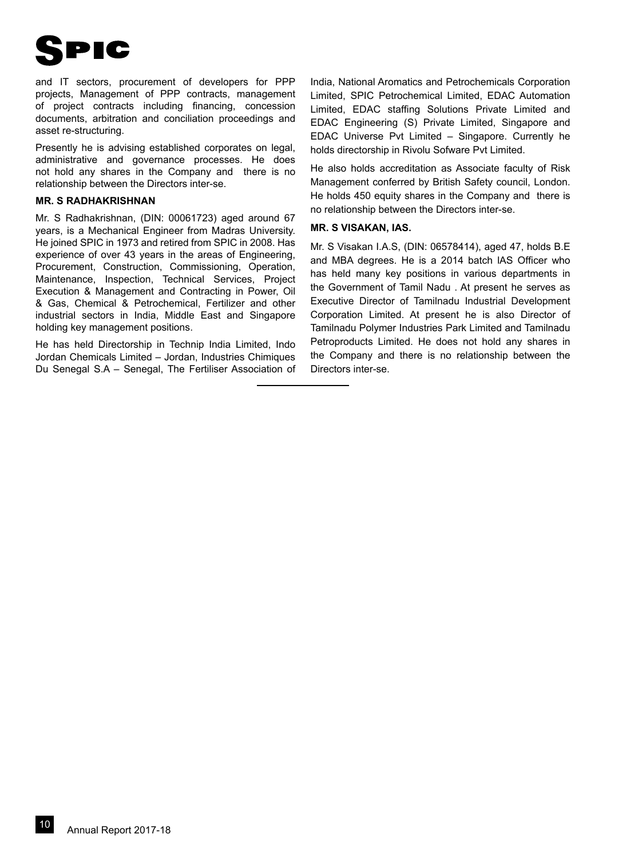

and IT sectors, procurement of developers for PPP projects, Management of PPP contracts, management of project contracts including financing, concession documents, arbitration and conciliation proceedings and asset re-structuring.

Presently he is advising established corporates on legal, administrative and governance processes. He does not hold any shares in the Company and there is no relationship between the Directors inter-se.

#### **MR. S RADHAKRISHNAN**

Mr. S Radhakrishnan, (DIN: 00061723) aged around 67 years, is a Mechanical Engineer from Madras University. He joined SPIC in 1973 and retired from SPIC in 2008. Has experience of over 43 years in the areas of Engineering, Procurement, Construction, Commissioning, Operation, Maintenance, Inspection, Technical Services, Project Execution & Management and Contracting in Power, Oil & Gas, Chemical & Petrochemical, Fertilizer and other industrial sectors in India, Middle East and Singapore holding key management positions.

He has held Directorship in Technip India Limited, Indo Jordan Chemicals Limited – Jordan, Industries Chimiques Du Senegal S.A – Senegal, The Fertiliser Association of India, National Aromatics and Petrochemicals Corporation Limited, SPIC Petrochemical Limited, EDAC Automation Limited, EDAC staffing Solutions Private Limited and EDAC Engineering (S) Private Limited, Singapore and EDAC Universe Pvt Limited – Singapore. Currently he holds directorship in Rivolu Sofware Pvt Limited.

He also holds accreditation as Associate faculty of Risk Management conferred by British Safety council, London. He holds 450 equity shares in the Company and there is no relationship between the Directors inter-se.

## **MR. S VISAKAN, IAS.**

Mr. S Visakan I.A.S, (DIN: 06578414), aged 47, holds B.E and MBA degrees. He is a 2014 batch lAS Officer who has held many key positions in various departments in the Government of Tamil Nadu . At present he serves as Executive Director of Tamilnadu Industrial Development Corporation Limited. At present he is also Director of Tamilnadu Polymer Industries Park Limited and Tamilnadu Petroproducts Limited. He does not hold any shares in the Company and there is no relationship between the Directors inter-se.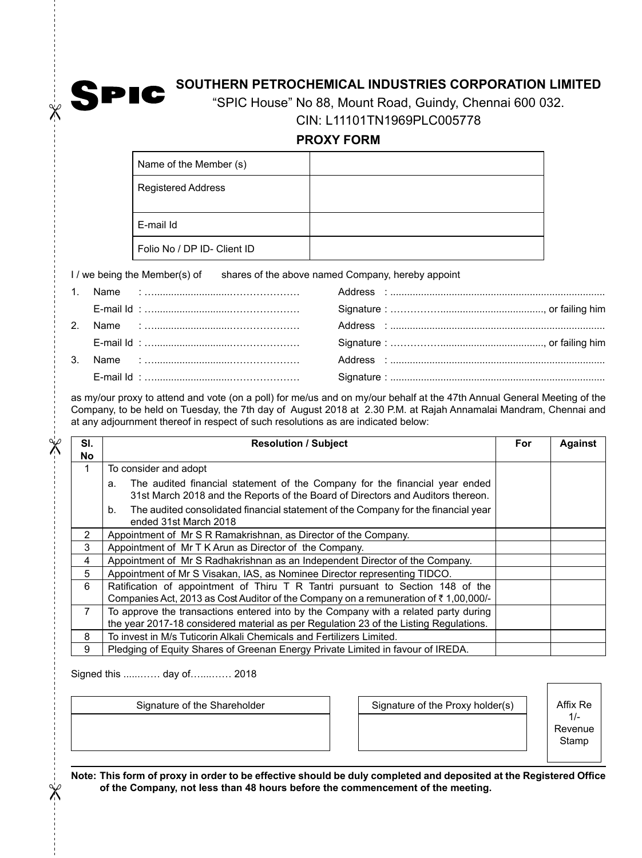

 $\chi$ 

# **SOUTHERN PETROCHEMICAL INDUSTRIES CORPORATION LIMITED**

"SPIC House" No 88, Mount Road, Guindy, Chennai 600 032. CIN: L11101TN1969PLC005778

**PROXY FORM**

| Name of the Member (s)      |  |
|-----------------------------|--|
| <b>Registered Address</b>   |  |
| E-mail Id                   |  |
| Folio No / DP ID- Client ID |  |

I / we being the Member(s) of shares of the above named Company, hereby appoint

|  | E-mail Id : ……………………………………………… |  |
|--|--------------------------------|--|
|  |                                |  |
|  |                                |  |
|  |                                |  |
|  |                                |  |

as my/our proxy to attend and vote (on a poll) for me/us and on my/our behalf at the 47th Annual General Meeting of the Company, to be held on Tuesday, the 7th day of August 2018 at 2.30 P.M. at Rajah Annamalai Mandram, Chennai and at any adjournment thereof in respect of such resolutions as are indicated below:

| SI.<br>No | <b>Resolution / Subject</b>                                                                                                                                                  | <b>For</b> | <b>Against</b> |
|-----------|------------------------------------------------------------------------------------------------------------------------------------------------------------------------------|------------|----------------|
| 1         | To consider and adopt                                                                                                                                                        |            |                |
|           | The audited financial statement of the Company for the financial year ended<br>а.<br>31st March 2018 and the Reports of the Board of Directors and Auditors thereon.         |            |                |
|           | The audited consolidated financial statement of the Company for the financial year<br>b.<br>ended 31st March 2018                                                            |            |                |
| 2         | Appointment of Mr S R Ramakrishnan, as Director of the Company.                                                                                                              |            |                |
| 3         | Appointment of Mr T K Arun as Director of the Company.                                                                                                                       |            |                |
| 4         | Appointment of Mr S Radhakrishnan as an Independent Director of the Company.                                                                                                 |            |                |
| 5         | Appointment of Mr S Visakan, IAS, as Nominee Director representing TIDCO.                                                                                                    |            |                |
| 6         | Ratification of appointment of Thiru T R Tantri pursuant to Section 148 of the<br>Companies Act, 2013 as Cost Auditor of the Company on a remuneration of ₹1,00,000/-        |            |                |
| 7         | To approve the transactions entered into by the Company with a related party during<br>the year 2017-18 considered material as per Regulation 23 of the Listing Regulations. |            |                |
| 8         | To invest in M/s Tuticorin Alkali Chemicals and Fertilizers Limited.                                                                                                         |            |                |
| 9         | Pledging of Equity Shares of Greenan Energy Private Limited in favour of IREDA.                                                                                              |            |                |

Signed this ......…… day of…....…… 2018

| Signature of the Shareholder | Signature of the Proxy holder(s) | Affix Re |
|------------------------------|----------------------------------|----------|
|                              |                                  | Revenue  |
|                              |                                  | Stamp    |

1/ enue mp

**Note: This form of proxy in order to be effective should be duly completed and deposited at the Registered Office of the Company, not less than 48 hours before the commencement of the meeting.**

 $\mathbb X$ 

 $\mathbb{\mathscr{K}}$